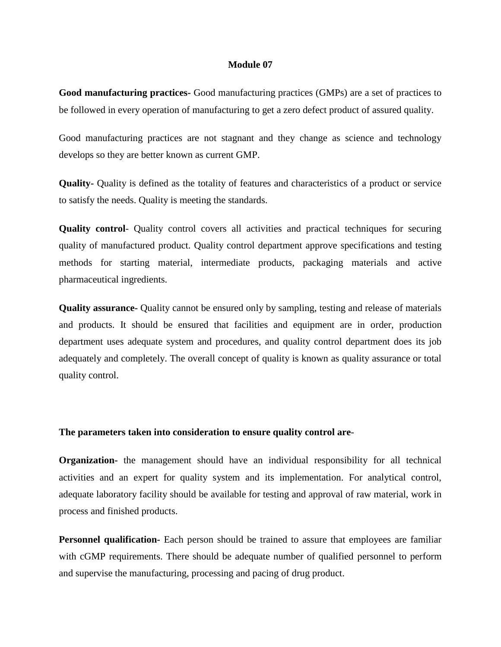## **Module 07**

**Good manufacturing practices-** Good manufacturing practices (GMPs) are a set of practices to be followed in every operation of manufacturing to get a zero defect product of assured quality.

Good manufacturing practices are not stagnant and they change as science and technology develops so they are better known as current GMP.

**Quality-** Quality is defined as the totality of features and characteristics of a product or service to satisfy the needs. Quality is meeting the standards.

**Quality control**- Quality control covers all activities and practical techniques for securing quality of manufactured product. Quality control department approve specifications and testing methods for starting material, intermediate products, packaging materials and active pharmaceutical ingredients.

**Quality assurance-** Quality cannot be ensured only by sampling, testing and release of materials and products. It should be ensured that facilities and equipment are in order, production department uses adequate system and procedures, and quality control department does its job adequately and completely. The overall concept of quality is known as quality assurance or total quality control.

## **The parameters taken into consideration to ensure quality control are**-

**Organization-** the management should have an individual responsibility for all technical activities and an expert for quality system and its implementation. For analytical control, adequate laboratory facility should be available for testing and approval of raw material, work in process and finished products.

**Personnel qualification-** Each person should be trained to assure that employees are familiar with cGMP requirements. There should be adequate number of qualified personnel to perform and supervise the manufacturing, processing and pacing of drug product.